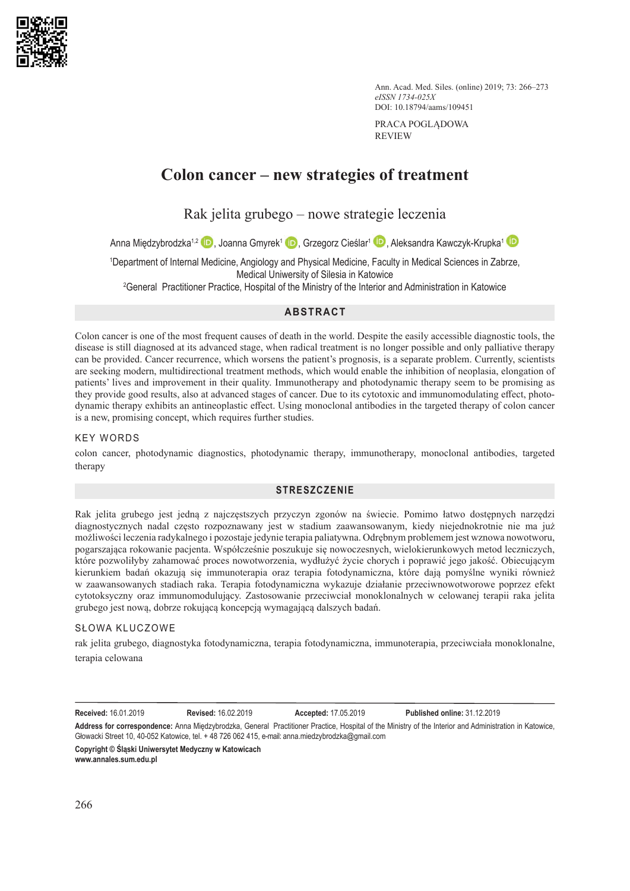

Ann. Acad. Med. Siles. (online) 2019; 73: 266–273 *eISSN 1734-025X* DOI: 10.18794/aams/109451

PRACA POGLĄDOWA REVIEW

# **Colon cancer – new strategies of treatment**

Rak jelita grubego – nowe strategie leczenia

Anna Międzybrodzka<sup>1[,](https://orcid.org/0000-0003-2210-8744)2</sup> D, Joanna Gmyrek<sup>1</sup> D, Grzegorz Cieślar<sup>1</sup> D, Aleksandra Kawczyk-Krupka<sup>1</sup> D

1 Department of Internal Medicine, Angiology and Physical Medicine, Faculty in Medical Sciences in Zabrze, Medical Uniwersity of Silesia in Katowice

2 General Practitioner Practice, Hospital of the Ministry of the Interior and Administration in Katowice

# **ABSTRACT**

Colon cancer is one of the most frequent causes of death in the world. Despite the easily accessible diagnostic tools, the disease is still diagnosed at its advanced stage, when radical treatment is no longer possible and only palliative therapy can be provided. Cancer recurrence, which worsens the patient's prognosis, is a separate problem. Currently, scientists are seeking modern, multidirectional treatment methods, which would enable the inhibition of neoplasia, elongation of patients' lives and improvement in their quality. Immunotherapy and photodynamic therapy seem to be promising as they provide good results, also at advanced stages of cancer. Due to its cytotoxic and immunomodulating effect, photodynamic therapy exhibits an antineoplastic effect. Using monoclonal antibodies in the targeted therapy of colon cancer is a new, promising concept, which requires further studies.

# KEY WORDS

colon cancer, photodynamic diagnostics, photodynamic therapy, immunotherapy, monoclonal antibodies, targeted therapy

# **STRESZCZENIE**

Rak jelita grubego jest jedną z najczęstszych przyczyn zgonów na świecie. Pomimo łatwo dostępnych narzędzi diagnostycznych nadal często rozpoznawany jest w stadium zaawansowanym, kiedy niejednokrotnie nie ma już możliwości leczenia radykalnego i pozostaje jedynie terapia paliatywna. Odrębnym problemem jest wznowa nowotworu, pogarszająca rokowanie pacjenta. Współcześnie poszukuje się nowoczesnych, wielokierunkowych metod leczniczych, które pozwoliłyby zahamować proces nowotworzenia, wydłużyć życie chorych i poprawić jego jakość. Obiecującym kierunkiem badań okazują się immunoterapia oraz terapia fotodynamiczna, które dają pomyślne wyniki również w zaawansowanych stadiach raka. Terapia fotodynamiczna wykazuje działanie przeciwnowotworowe poprzez efekt cytotoksyczny oraz immunomodulujący. Zastosowanie przeciwciał monoklonalnych w celowanej terapii raka jelita grubego jest nową, dobrze rokującą koncepcją wymagającą dalszych badań.

# SŁOWA KLUCZOWE

rak jelita grubego, diagnostyka fotodynamiczna, terapia fotodynamiczna, immunoterapia, przeciwciała monoklonalne, terapia celowana

**Received:** 16.01.2019 **Revised:** 16.02.2019 **Accepted:** 17.05.2019 **Published online:** 31.12.2019

**Address for correspondence:** Anna Międzybrodzka, General Practitioner Practice, Hospital of the Ministry of the Interior and Administration in Katowice, Głowacki Street 10, 40-052 Katowice, tel. + 48 726 062 415, e-mail: anna.miedzybrodzka@gmail.com

**Copyright © Śląski Uniwersytet Medyczny w Katowicach www.annales.sum.edu.pl**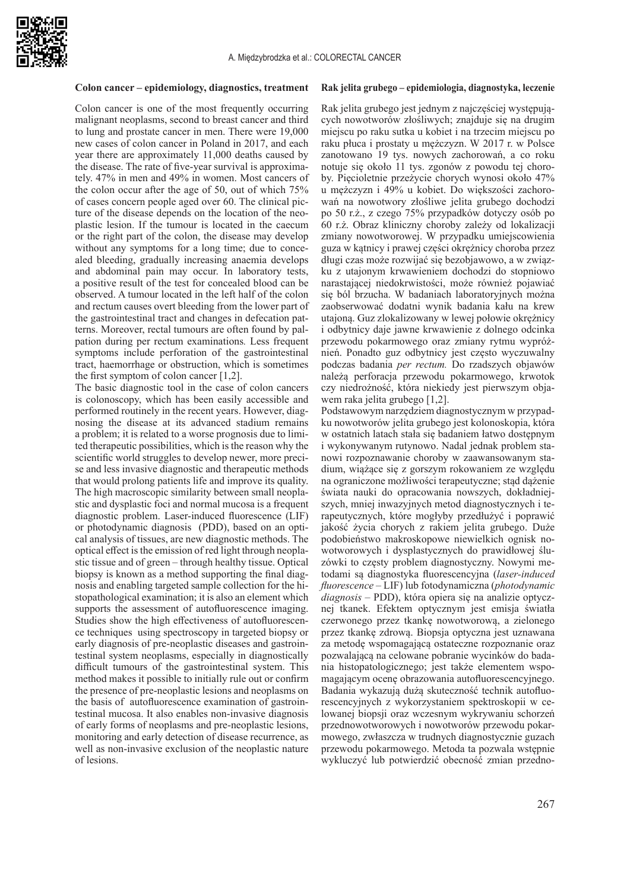

#### **Colon cancer – epidemiology, diagnostics, treatment**

Colon cancer is one of the most frequently occurring malignant neoplasms, second to breast cancer and third to lung and prostate cancer in men. There were 19,000 new cases of colon cancer in Poland in 2017, and each year there are approximately 11,000 deaths caused by the disease. The rate of five-year survival is approximately. 47% in men and 49% in women. Most cancers of the colon occur after the age of 50, out of which 75% of cases concern people aged over 60. The clinical picture of the disease depends on the location of the neoplastic lesion. If the tumour is located in the caecum or the right part of the colon, the disease may develop without any symptoms for a long time; due to concealed bleeding, gradually increasing anaemia develops and abdominal pain may occur. In laboratory tests, a positive result of the test for concealed blood can be observed. A tumour located in the left half of the colon and rectum causes overt bleeding from the lower part of the gastrointestinal tract and changes in defecation patterns. Moreover, rectal tumours are often found by palpation during per rectum examinations*.* Less frequent symptoms include perforation of the gastrointestinal tract, haemorrhage or obstruction, which is sometimes the first symptom of colon cancer [1,2].

The basic diagnostic tool in the case of colon cancers is colonoscopy, which has been easily accessible and performed routinely in the recent years. However, diagnosing the disease at its advanced stadium remains a problem; it is related to a worse prognosis due to limited therapeutic possibilities, which is the reason why the scientific world struggles to develop newer, more precise and less invasive diagnostic and therapeutic methods that would prolong patients life and improve its quality. The high macroscopic similarity between small neoplastic and dysplastic foci and normal mucosa is a frequent diagnostic problem. Laser-induced fluorescence (LIF) or photodynamic diagnosis (PDD), based on an optical analysis of tissues, are new diagnostic methods. The optical effect is the emission of red light through neoplastic tissue and of green – through healthy tissue. Optical biopsy is known as a method supporting the final diagnosis and enabling targeted sample collection for the histopathological examination; it is also an element which supports the assessment of autofluorescence imaging. Studies show the high effectiveness of autofluorescence techniques using spectroscopy in targeted biopsy or early diagnosis of pre-neoplastic diseases and gastrointestinal system neoplasms, especially in diagnostically difficult tumours of the gastrointestinal system. This method makes it possible to initially rule out or confirm the presence of pre-neoplastic lesions and neoplasms on the basis of autofluorescence examination of gastrointestinal mucosa. It also enables non-invasive diagnosis of early forms of neoplasms and pre-neoplastic lesions, monitoring and early detection of disease recurrence, as well as non-invasive exclusion of the neoplastic nature of lesions.

#### **Rak jelita grubego – epidemiologia, diagnostyka, leczenie**

Rak jelita grubego jest jednym z najczęściej występujących nowotworów złośliwych; znajduje się na drugim miejscu po raku sutka u kobiet i na trzecim miejscu po raku płuca i prostaty u mężczyzn. W 2017 r. w Polsce zanotowano 19 tys. nowych zachorowań, a co roku notuje się około 11 tys. zgonów z powodu tej choroby. Pięcioletnie przeżycie chorych wynosi około 47% u mężczyzn i 49% u kobiet. Do większości zachorowań na nowotwory złośliwe jelita grubego dochodzi po 50 r.ż., z czego 75% przypadków dotyczy osób po 60 r.ż. Obraz kliniczny choroby zależy od lokalizacji zmiany nowotworowej. W przypadku umiejscowienia guza w kątnicy i prawej części okrężnicy choroba przez długi czas może rozwijać się bezobjawowo, a w związku z utajonym krwawieniem dochodzi do stopniowo narastającej niedokrwistości, może również pojawiać się ból brzucha. W badaniach laboratoryjnych można zaobserwować dodatni wynik badania kału na krew utajoną. Guz zlokalizowany w lewej połowie okrężnicy i odbytnicy daje jawne krwawienie z dolnego odcinka przewodu pokarmowego oraz zmiany rytmu wypróżnień. Ponadto guz odbytnicy jest często wyczuwalny podczas badania *per rectum.* Do rzadszych objawów należą perforacja przewodu pokarmowego, krwotok czy niedrożność, która niekiedy jest pierwszym objawem raka jelita grubego [1,2].

Podstawowym narzędziem diagnostycznym w przypadku nowotworów jelita grubego jest kolonoskopia, która w ostatnich latach stała się badaniem łatwo dostępnym i wykonywanym rutynowo. Nadal jednak problem stanowi rozpoznawanie choroby w zaawansowanym stadium, wiążące się z gorszym rokowaniem ze względu na ograniczone możliwości terapeutyczne; stąd dążenie świata nauki do opracowania nowszych, dokładniejszych, mniej inwazyjnych metod diagnostycznych i terapeutycznych, które mogłyby przedłużyć i poprawić jakość życia chorych z rakiem jelita grubego. Duże podobieństwo makroskopowe niewielkich ognisk nowotworowych i dysplastycznych do prawidłowej śluzówki to częsty problem diagnostyczny. Nowymi metodami są diagnostyka fluorescencyjna (*laser-induced fluorescence* – LIF) lub fotodynamiczna (*photodynamic diagnosis* – PDD), która opiera się na analizie optycznej tkanek. Efektem optycznym jest emisja światła czerwonego przez tkankę nowotworową, a zielonego przez tkankę zdrową. Biopsja optyczna jest uznawana za metodę wspomagającą ostateczne rozpoznanie oraz pozwalającą na celowane pobranie wycinków do badania histopatologicznego; jest także elementem wspomagającym ocenę obrazowania autofluorescencyjnego. Badania wykazują dużą skuteczność technik autofluorescencyjnych z wykorzystaniem spektroskopii w celowanej biopsji oraz wczesnym wykrywaniu schorzeń przednowotworowych i nowotworów przewodu pokarmowego, zwłaszcza w trudnych diagnostycznie guzach przewodu pokarmowego. Metoda ta pozwala wstępnie wykluczyć lub potwierdzić obecność zmian przedno-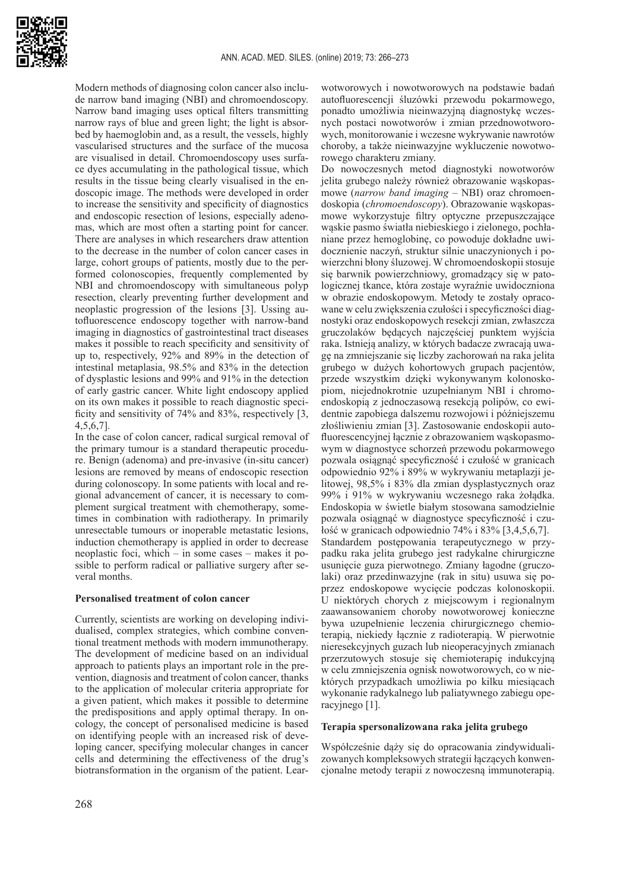

Modern methods of diagnosing colon cancer also include narrow band imaging (NBI) and chromoendoscopy. Narrow band imaging uses optical filters transmitting narrow rays of blue and green light; the light is absorbed by haemoglobin and, as a result, the vessels, highly vascularised structures and the surface of the mucosa are visualised in detail. Chromoendoscopy uses surface dyes accumulating in the pathological tissue, which results in the tissue being clearly visualised in the endoscopic image. The methods were developed in order to increase the sensitivity and specificity of diagnostics and endoscopic resection of lesions, especially adenomas, which are most often a starting point for cancer. There are analyses in which researchers draw attention to the decrease in the number of colon cancer cases in large, cohort groups of patients, mostly due to the performed colonoscopies, frequently complemented by NBI and chromoendoscopy with simultaneous polyp resection, clearly preventing further development and neoplastic progression of the lesions [3]. Ussing autofluorescence endoscopy together with narrow-band imaging in diagnostics of gastrointestinal tract diseases makes it possible to reach specificity and sensitivity of up to, respectively, 92% and 89% in the detection of intestinal metaplasia, 98.5% and 83% in the detection of dysplastic lesions and 99% and 91% in the detection of early gastric cancer. White light endoscopy applied on its own makes it possible to reach diagnostic specificity and sensitivity of 74% and 83%, respectively [3, 4,5,6,7].

In the case of colon cancer, radical surgical removal of the primary tumour is a standard therapeutic procedure. Benign (adenoma) and pre-invasive (in-situ cancer) lesions are removed by means of endoscopic resection during colonoscopy. In some patients with local and regional advancement of cancer, it is necessary to complement surgical treatment with chemotherapy, sometimes in combination with radiotherapy. In primarily unresectable tumours or inoperable metastatic lesions, induction chemotherapy is applied in order to decrease neoplastic foci, which – in some cases – makes it possible to perform radical or palliative surgery after several months.

# **Personalised treatment of colon cancer**

Currently, scientists are working on developing individualised, complex strategies, which combine conventional treatment methods with modern immunotherapy. The development of medicine based on an individual approach to patients plays an important role in the prevention, diagnosis and treatment of colon cancer, thanks to the application of molecular criteria appropriate for a given patient, which makes it possible to determine the predispositions and apply optimal therapy. In oncology, the concept of personalised medicine is based on identifying people with an increased risk of developing cancer, specifying molecular changes in cancer cells and determining the effectiveness of the drug's biotransformation in the organism of the patient. Learwotworowych i nowotworowych na podstawie badań autofluorescencji śluzówki przewodu pokarmowego, ponadto umożliwia nieinwazyjną diagnostykę wczesnych postaci nowotworów i zmian przednowotworowych, monitorowanie i wczesne wykrywanie nawrotów choroby, a także nieinwazyjne wykluczenie nowotworowego charakteru zmiany.

Do nowoczesnych metod diagnostyki nowotworów jelita grubego należy również obrazowanie wąskopasmowe (*narrow band imaging* – NBI) oraz chromoendoskopia (*chromoendoscopy*). Obrazowanie wąskopasmowe wykorzystuje filtry optyczne przepuszczające wąskie pasmo światła niebieskiego i zielonego, pochłaniane przez hemoglobinę, co powoduje dokładne uwidocznienie naczyń, struktur silnie unaczynionych i powierzchni błony śluzowej. W chromoendoskopii stosuje się barwnik powierzchniowy, gromadzący się w patologicznej tkance, która zostaje wyraźnie uwidoczniona w obrazie endoskopowym. Metody te zostały opracowane w celu zwiększenia czułości i specyficzności diagnostyki oraz endoskopowych resekcji zmian, zwłaszcza gruczolaków będących najczęściej punktem wyjścia raka. Istnieją analizy, w których badacze zwracają uwagę na zmniejszanie się liczby zachorowań na raka jelita grubego w dużych kohortowych grupach pacjentów, przede wszystkim dzięki wykonywanym kolonoskopiom, niejednokrotnie uzupełnianym NBI i chromoendoskopią z jednoczasową resekcją polipów, co ewidentnie zapobiega dalszemu rozwojowi i późniejszemu złośliwieniu zmian [3]. Zastosowanie endoskopii autofluorescencyjnej łącznie z obrazowaniem wąskopasmowym w diagnostyce schorzeń przewodu pokarmowego pozwala osiągnąć specyficzność i czułość w granicach odpowiednio 92% i 89% w wykrywaniu metaplazji jelitowej, 98,5% i 83% dla zmian dysplastycznych oraz 99% i 91% w wykrywaniu wczesnego raka żołądka. Endoskopia w świetle białym stosowana samodzielnie pozwala osiągnąć w diagnostyce specyficzność i czułość w granicach odpowiednio 74% i 83% [3,4,5,6,7]. Standardem postępowania terapeutycznego w przypadku raka jelita grubego jest radykalne chirurgiczne usunięcie guza pierwotnego. Zmiany łagodne (gruczolaki) oraz przedinwazyjne (rak in situ) usuwa się poprzez endoskopowe wycięcie podczas kolonoskopii. U niektórych chorych z miejscowym i regionalnym zaawansowaniem choroby nowotworowej konieczne bywa uzupełnienie leczenia chirurgicznego chemioterapią, niekiedy łącznie z radioterapią. W pierwotnie nieresekcyjnych guzach lub nieoperacyjnych zmianach przerzutowych stosuje się chemioterapię indukcyjną w celu zmniejszenia ognisk nowotworowych, co w niektórych przypadkach umożliwia po kilku miesiącach wykonanie radykalnego lub paliatywnego zabiegu operacyjnego [1].

#### **Terapia spersonalizowana raka jelita grubego**

Współcześnie dąży się do opracowania zindywidualizowanych kompleksowych strategii łączących konwencjonalne metody terapii z nowoczesną immunoterapią.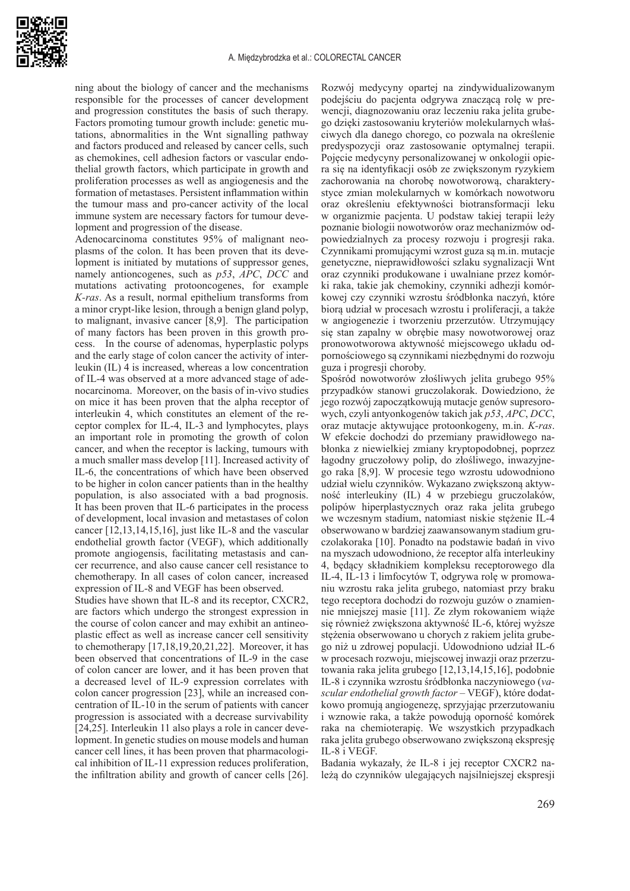

ning about the biology of cancer and the mechanisms responsible for the processes of cancer development and progression constitutes the basis of such therapy. Factors promoting tumour growth include: genetic mutations, abnormalities in the Wnt signalling pathway and factors produced and released by cancer cells, such as chemokines, cell adhesion factors or vascular endothelial growth factors, which participate in growth and proliferation processes as well as angiogenesis and the formation of metastases. Persistent inflammation within the tumour mass and pro-cancer activity of the local immune system are necessary factors for tumour development and progression of the disease.

Adenocarcinoma constitutes 95% of malignant neoplasms of the colon. It has been proven that its development is initiated by mutations of suppressor genes, namely antioncogenes, such as *p53*, *APC*, *DCC* and mutations activating protooncogenes, for example *K-ras*. As a result, normal epithelium transforms from a minor crypt-like lesion, through a benign gland polyp, to malignant, invasive cancer [8,9]. The participation of many factors has been proven in this growth process. In the course of adenomas, hyperplastic polyps and the early stage of colon cancer the activity of interleukin (IL) 4 is increased, whereas a low concentration of IL-4 was observed at a more advanced stage of adenocarcinoma. Moreover, on the basis of in-vivo studies on mice it has been proven that the alpha receptor of interleukin 4, which constitutes an element of the receptor complex for IL-4, IL-3 and lymphocytes, plays an important role in promoting the growth of colon cancer, and when the receptor is lacking, tumours with a much smaller mass develop [11]. Increased activity of IL-6, the concentrations of which have been observed to be higher in colon cancer patients than in the healthy population, is also associated with a bad prognosis. It has been proven that IL-6 participates in the process of development, local invasion and metastases of colon cancer [12,13,14,15,16], just like IL-8 and the vascular endothelial growth factor (VEGF), which additionally promote angiogensis, facilitating metastasis and cancer recurrence, and also cause cancer cell resistance to chemotherapy. In all cases of colon cancer, increased expression of IL-8 and VEGF has been observed.

Studies have shown that IL-8 and its receptor, CXCR2, are factors which undergo the strongest expression in the course of colon cancer and may exhibit an antineoplastic effect as well as increase cancer cell sensitivity to chemotherapy [17,18,19,20,21,22]. Moreover, it has been observed that concentrations of IL-9 in the case of colon cancer are lower, and it has been proven that a decreased level of IL-9 expression correlates with colon cancer progression [23], while an increased concentration of IL-10 in the serum of patients with cancer progression is associated with a decrease survivability [24,25]. Interleukin 11 also plays a role in cancer development. In genetic studies on mouse models and human cancer cell lines, it has been proven that pharmacological inhibition of IL-11 expression reduces proliferation, the infiltration ability and growth of cancer cells [26].

Rozwój medycyny opartej na zindywidualizowanym podejściu do pacjenta odgrywa znaczącą rolę w prewencji, diagnozowaniu oraz leczeniu raka jelita grubego dzięki zastosowaniu kryteriów molekularnych właściwych dla danego chorego, co pozwala na określenie predyspozycji oraz zastosowanie optymalnej terapii. Pojęcie medycyny personalizowanej w onkologii opiera się na identyfikacji osób ze zwiększonym ryzykiem zachorowania na chorobę nowotworową, charakterystyce zmian molekularnych w komórkach nowotworu oraz określeniu efektywności biotransformacji leku w organizmie pacjenta. U podstaw takiej terapii leży poznanie biologii nowotworów oraz mechanizmów odpowiedzialnych za procesy rozwoju i progresji raka. Czynnikami promującymi wzrost guza są m.in. mutacje genetyczne, nieprawidłowości szlaku sygnalizacji Wnt oraz czynniki produkowane i uwalniane przez komórki raka, takie jak chemokiny, czynniki adhezji komórkowej czy czynniki wzrostu śródbłonka naczyń, które biorą udział w procesach wzrostu i proliferacji, a także w angiogenezie i tworzeniu przerzutów. Utrzymujący się stan zapalny w obrębie masy nowotworowej oraz pronowotworowa aktywność miejscowego układu odpornościowego są czynnikami niezbędnymi do rozwoju guza i progresji choroby.

Spośród nowotworów złośliwych jelita grubego 95% przypadków stanowi gruczolakorak. Dowiedziono, że jego rozwój zapoczątkowują mutacje genów supresorowych, czyli antyonkogenów takich jak *p53*, *APC*, *DCC*, oraz mutacje aktywujące protoonkogeny, m.in. *K-ras*. W efekcie dochodzi do przemiany prawidłowego nabłonka z niewielkiej zmiany kryptopodobnej, poprzez łagodny gruczołowy polip, do złośliwego, inwazyjnego raka [8,9]. W procesie tego wzrostu udowodniono udział wielu czynników. Wykazano zwiększoną aktywność interleukiny (IL) 4 w przebiegu gruczolaków, polipów hiperplastycznych oraz raka jelita grubego we wczesnym stadium, natomiast niskie stężenie IL-4 obserwowano w bardziej zaawansowanym stadium gruczolakoraka [10]. Ponadto na podstawie badań in vivo na myszach udowodniono, że receptor alfa interleukiny 4, będący składnikiem kompleksu receptorowego dla IL-4, IL-13 i limfocytów T, odgrywa rolę w promowaniu wzrostu raka jelita grubego, natomiast przy braku tego receptora dochodzi do rozwoju guzów o znamiennie mniejszej masie [11]. Ze złym rokowaniem wiąże się również zwiększona aktywność IL-6, której wyższe stężenia obserwowano u chorych z rakiem jelita grubego niż u zdrowej populacji. Udowodniono udział IL-6 w procesach rozwoju, miejscowej inwazji oraz przerzutowania raka jelita grubego [12,13,14,15,16], podobnie IL-8 i czynnika wzrostu śródbłonka naczyniowego (*vascular endothelial growth factor* – VEGF), które dodatkowo promują angiogenezę, sprzyjając przerzutowaniu i wznowie raka, a także powodują oporność komórek raka na chemioterapię. We wszystkich przypadkach raka jelita grubego obserwowano zwiększoną ekspresję IL-8 i VEGF.

Badania wykazały, że IL-8 i jej receptor CXCR2 należą do czynników ulegających najsilniejszej ekspresji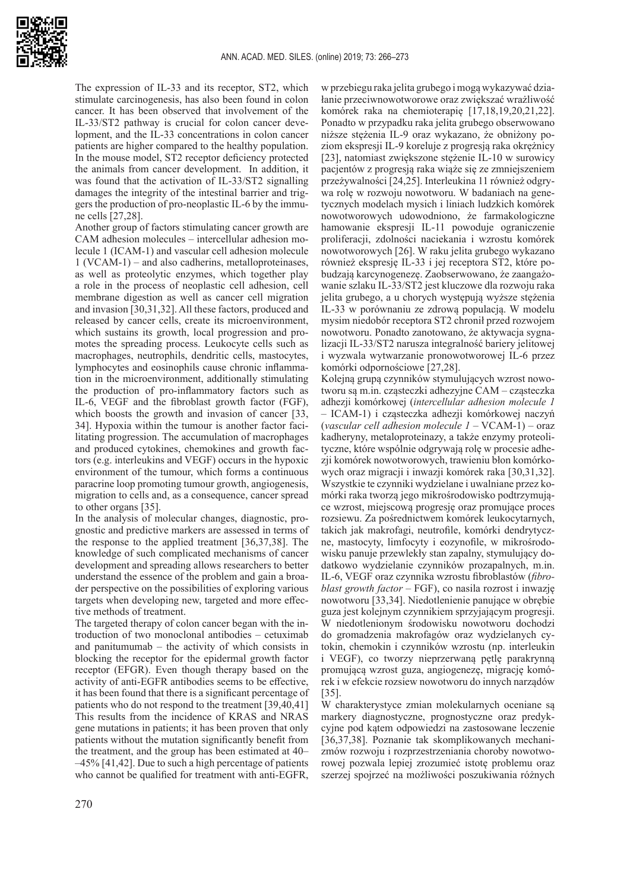

The expression of IL-33 and its receptor, ST2, which stimulate carcinogenesis, has also been found in colon cancer. It has been observed that involvement of the IL-33/ST2 pathway is crucial for colon cancer development, and the IL-33 concentrations in colon cancer patients are higher compared to the healthy population. In the mouse model, ST2 receptor deficiency protected the animals from cancer development. In addition, it was found that the activation of IL-33/ST2 signalling damages the integrity of the intestinal barrier and triggers the production of pro-neoplastic IL-6 by the immune cells [27,28].

Another group of factors stimulating cancer growth are CAM adhesion molecules – intercellular adhesion molecule 1 (ICAM-1) and vascular cell adhesion molecule 1 (VCAM-1) – and also cadherins, metalloproteinases, as well as proteolytic enzymes, which together play a role in the process of neoplastic cell adhesion, cell membrane digestion as well as cancer cell migration and invasion [30,31,32]. All these factors, produced and released by cancer cells, create its microenvironment, which sustains its growth, local progression and promotes the spreading process. Leukocyte cells such as macrophages, neutrophils, dendritic cells, mastocytes, lymphocytes and eosinophils cause chronic inflammation in the microenvironment, additionally stimulating the production of pro-inflammatory factors such as IL-6, VEGF and the fibroblast growth factor (FGF), which boosts the growth and invasion of cancer [33, 34]. Hypoxia within the tumour is another factor facilitating progression. The accumulation of macrophages and produced cytokines, chemokines and growth factors (e.g. interleukins and VEGF) occurs in the hypoxic environment of the tumour, which forms a continuous paracrine loop promoting tumour growth, angiogenesis, migration to cells and, as a consequence, cancer spread to other organs [35].

In the analysis of molecular changes, diagnostic, prognostic and predictive markers are assessed in terms of the response to the applied treatment [36,37,38]. The knowledge of such complicated mechanisms of cancer development and spreading allows researchers to better understand the essence of the problem and gain a broader perspective on the possibilities of exploring various targets when developing new, targeted and more effective methods of treatment.

The targeted therapy of colon cancer began with the introduction of two monoclonal antibodies – cetuximab and panitumumab – the activity of which consists in blocking the receptor for the epidermal growth factor receptor (EFGR). Even though therapy based on the activity of anti-EGFR antibodies seems to be effective, it has been found that there is a significant percentage of patients who do not respond to the treatment [39,40,41] This results from the incidence of KRAS and NRAS gene mutations in patients; it has been proven that only patients without the mutation significantly benefit from the treatment, and the group has been estimated at 40– –45% [41,42]. Due to such a high percentage of patients who cannot be qualified for treatment with anti-EGFR,

w przebiegu raka jelita grubego i mogą wykazywać działanie przeciwnowotworowe oraz zwiększać wrażliwość komórek raka na chemioterapię [17,18,19,20,21,22]. Ponadto w przypadku raka jelita grubego obserwowano niższe stężenia IL-9 oraz wykazano, że obniżony poziom ekspresji IL-9 koreluje z progresją raka okrężnicy [23], natomiast zwiększone stężenie IL-10 w surowicy pacjentów z progresją raka wiąże się ze zmniejszeniem przeżywalności [24,25]. Interleukina 11 również odgrywa rolę w rozwoju nowotworu. W badaniach na genetycznych modelach mysich i liniach ludzkich komórek nowotworowych udowodniono, że farmakologiczne hamowanie ekspresji IL-11 powoduje ograniczenie proliferacji, zdolności naciekania i wzrostu komórek nowotworowych [26]. W raku jelita grubego wykazano również ekspresję IL-33 i jej receptora ST2, które pobudzają karcynogenezę. Zaobserwowano, że zaangażowanie szlaku IL-33/ST2 jest kluczowe dla rozwoju raka jelita grubego, a u chorych występują wyższe stężenia IL-33 w porównaniu ze zdrową populacją. W modelu mysim niedobór receptora ST2 chronił przed rozwojem nowotworu. Ponadto zanotowano, że aktywacja sygnalizacji IL-33/ST2 narusza integralność bariery jelitowej i wyzwala wytwarzanie pronowotworowej IL-6 przez komórki odpornościowe [27,28].

Kolejną grupą czynników stymulujących wzrost nowotworu są m.in. cząsteczki adhezyjne CAM – cząsteczka adhezji komórkowej (*intercellular adhesion molecule 1* – ICAM-1) i cząsteczka adhezji komórkowej naczyń (*vascular cell adhesion molecule 1* – VCAM-1) – oraz kadheryny, metaloproteinazy, a także enzymy proteolityczne, które wspólnie odgrywają rolę w procesie adhezii komórek nowotworowych, trawieniu błon komórkowych oraz migracji i inwazji komórek raka [30,31,32]. Wszystkie te czynniki wydzielane i uwalniane przez komórki raka tworzą jego mikrośrodowisko podtrzymujące wzrost, miejscową progresję oraz promujące proces rozsiewu. Za pośrednictwem komórek leukocytarnych, takich jak makrofagi, neutrofile, komórki dendrytyczne, mastocyty, limfocyty i eozynofile, w mikrośrodowisku panuje przewlekły stan zapalny, stymulujący dodatkowo wydzielanie czynników prozapalnych, m.in. IL-6, VEGF oraz czynnika wzrostu fibroblastów (*fibroblast growth factor –* FGF), co nasila rozrost i inwazję nowotworu [33,34]. Niedotlenienie panujące w obrębie guza jest kolejnym czynnikiem sprzyjającym progresji. W niedotlenionym środowisku nowotworu dochodzi do gromadzenia makrofagów oraz wydzielanych cytokin, chemokin i czynników wzrostu (np. interleukin i VEGF), co tworzy nieprzerwaną pętlę parakrynną promującą wzrost guza, angiogenezę, migrację komórek i w efekcie rozsiew nowotworu do innych narządów [35].

W charakterystyce zmian molekularnych oceniane są markery diagnostyczne, prognostyczne oraz predykcyjne pod kątem odpowiedzi na zastosowane leczenie [36,37,38]. Poznanie tak skomplikowanych mechanizmów rozwoju i rozprzestrzeniania choroby nowotworowej pozwala lepiej zrozumieć istotę problemu oraz szerzej spojrzeć na możliwości poszukiwania różnych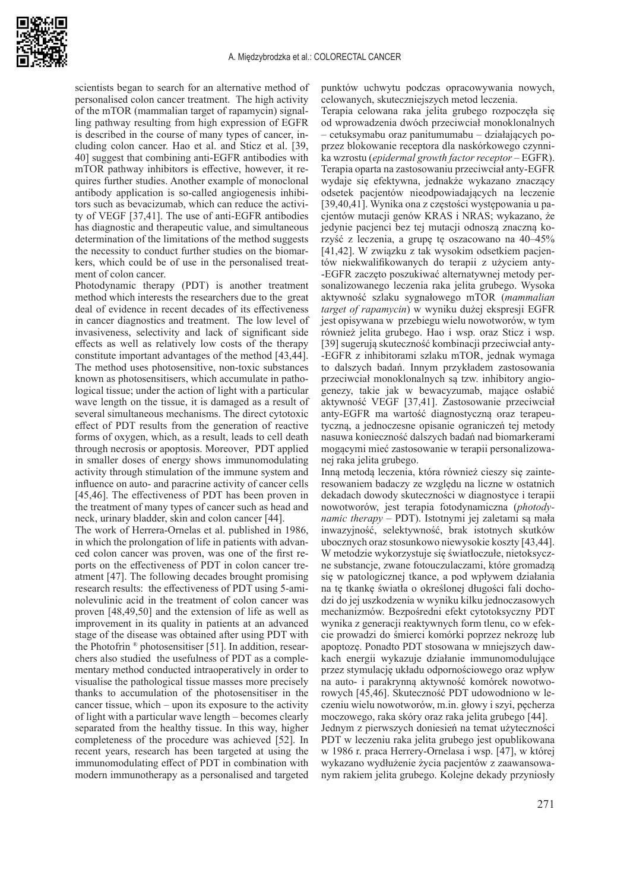

scientists began to search for an alternative method of personalised colon cancer treatment. The high activity of the mTOR (mammalian target of rapamycin) signalling pathway resulting from high expression of EGFR is described in the course of many types of cancer, including colon cancer. Hao et al. and Sticz et al. [39, 40] suggest that combining anti-EGFR antibodies with mTOR pathway inhibitors is effective, however, it requires further studies. Another example of monoclonal antibody application is so-called angiogenesis inhibitors such as bevacizumab, which can reduce the activity of VEGF [37,41]. The use of anti-EGFR antibodies has diagnostic and therapeutic value, and simultaneous determination of the limitations of the method suggests the necessity to conduct further studies on the biomarkers, which could be of use in the personalised treatment of colon cancer.

Photodynamic therapy (PDT) is another treatment method which interests the researchers due to the great deal of evidence in recent decades of its effectiveness in cancer diagnostics and treatment. The low level of invasiveness, selectivity and lack of significant side effects as well as relatively low costs of the therapy constitute important advantages of the method [43,44]. The method uses photosensitive, non-toxic substances known as photosensitisers, which accumulate in pathological tissue; under the action of light with a particular wave length on the tissue, it is damaged as a result of several simultaneous mechanisms. The direct cytotoxic effect of PDT results from the generation of reactive forms of oxygen, which, as a result, leads to cell death through necrosis or apoptosis. Moreover, PDT applied in smaller doses of energy shows immunomodulating activity through stimulation of the immune system and influence on auto- and paracrine activity of cancer cells [45,46]. The effectiveness of PDT has been proven in the treatment of many types of cancer such as head and neck, urinary bladder, skin and colon cancer [44].

The work of Herrera-Ornelas et al. published in 1986, in which the prolongation of life in patients with advanced colon cancer was proven, was one of the first reports on the effectiveness of PDT in colon cancer treatment [47]. The following decades brought promising research results: the effectiveness of PDT using 5-aminolevulinic acid in the treatment of colon cancer was proven [48,49,50] and the extension of life as well as improvement in its quality in patients at an advanced stage of the disease was obtained after using PDT with the Photofrin ® photosensitiser [51]. In addition, researchers also studied the usefulness of PDT as a complementary method conducted intraoperatively in order to visualise the pathological tissue masses more precisely thanks to accumulation of the photosensitiser in the cancer tissue, which – upon its exposure to the activity of light with a particular wave length – becomes clearly separated from the healthy tissue. In this way, higher completeness of the procedure was achieved [52]. In recent years, research has been targeted at using the immunomodulating effect of PDT in combination with modern immunotherapy as a personalised and targeted punktów uchwytu podczas opracowywania nowych, celowanych, skuteczniejszych metod leczenia.

Terapia celowana raka jelita grubego rozpoczęła się od wprowadzenia dwóch przeciwciał monoklonalnych – cetuksymabu oraz panitumumabu – działających poprzez blokowanie receptora dla naskórkowego czynnika wzrostu (*epidermal growth factor receptor* – EGFR). Terapia oparta na zastosowaniu przeciwciał anty-EGFR wydaje się efektywna, jednakże wykazano znaczący odsetek pacjentów nieodpowiadających na leczenie [39,40,41]. Wynika ona z częstości występowania u pacjentów mutacji genów KRAS i NRAS; wykazano, że jedynie pacjenci bez tej mutacji odnoszą znaczną korzyść z leczenia, a grupę tę oszacowano na 40–45% [41,42]. W związku z tak wysokim odsetkiem pacjentów niekwalifikowanych do terapii z użyciem anty- -EGFR zaczęto poszukiwać alternatywnej metody personalizowanego leczenia raka jelita grubego. Wysoka aktywność szlaku sygnałowego mTOR (*mammalian target of rapamycin*) w wyniku dużej ekspresji EGFR jest opisywana w przebiegu wielu nowotworów, w tym również jelita grubego. Hao i wsp. oraz Sticz i wsp. [39] sugerują skuteczność kombinacji przeciwciał anty- -EGFR z inhibitorami szlaku mTOR, jednak wymaga to dalszych badań. Innym przykładem zastosowania przeciwciał monoklonalnych są tzw. inhibitory angiogenezy, takie jak w bewacyzumab, mające osłabić aktywność VEGF [37,41]. Zastosowanie przeciwciał anty-EGFR ma wartość diagnostyczną oraz terapeutyczną, a jednoczesne opisanie ograniczeń tej metody nasuwa konieczność dalszych badań nad biomarkerami mogącymi mieć zastosowanie w terapii personalizowanej raka jelita grubego.

Inną metodą leczenia, która również cieszy się zainteresowaniem badaczy ze względu na liczne w ostatnich dekadach dowody skuteczności w diagnostyce i terapii nowotworów, jest terapia fotodynamiczna (*photodynamic therapy* – PDT). Istotnymi jej zaletami są mała inwazyjność, selektywność, brak istotnych skutków ubocznych oraz stosunkowo niewysokie koszty [43,44]. W metodzie wykorzystuje się światłoczułe, nietoksyczne substancje, zwane fotouczulaczami, które gromadzą się w patologicznej tkance, a pod wpływem działania na tę tkankę światła o określonej długości fali dochodzi do jej uszkodzenia w wyniku kilku jednoczasowych mechanizmów. Bezpośredni efekt cytotoksyczny PDT wynika z generacji reaktywnych form tlenu, co w efekcie prowadzi do śmierci komórki poprzez nekrozę lub apoptozę. Ponadto PDT stosowana w mniejszych dawkach energii wykazuje działanie immunomodulujące przez stymulację układu odpornościowego oraz wpływ na auto- i parakrynną aktywność komórek nowotworowych [45,46]. Skuteczność PDT udowodniono w leczeniu wielu nowotworów, m.in. głowy i szyi, pęcherza moczowego, raka skóry oraz raka jelita grubego [44].

Jednym z pierwszych doniesień na temat użyteczności PDT w leczeniu raka jelita grubego jest opublikowana w 1986 r. praca Herrery-Ornelasa i wsp. [47], w której wykazano wydłużenie życia pacjentów z zaawansowanym rakiem jelita grubego. Kolejne dekady przyniosły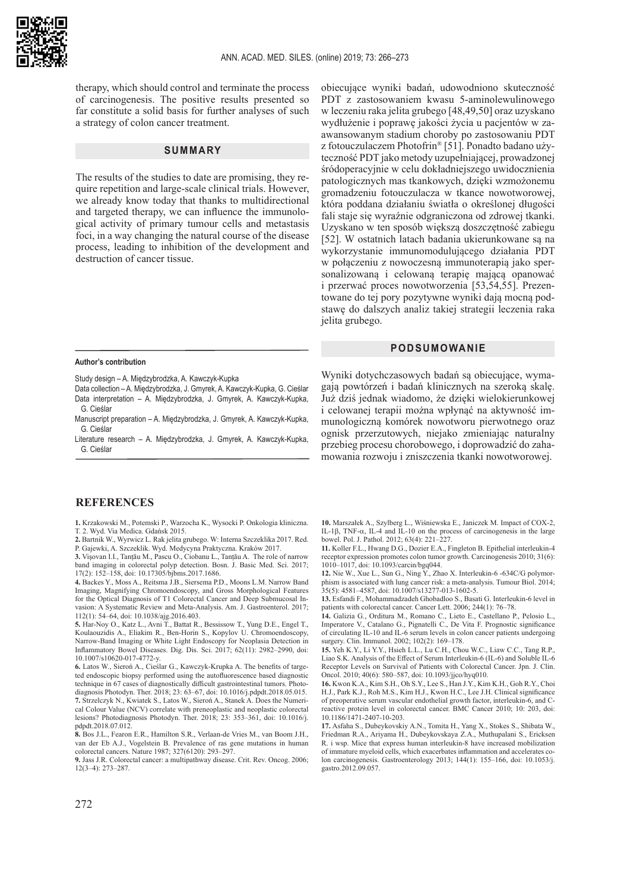

therapy, which should control and terminate the process of carcinogenesis. The positive results presented so far constitute a solid basis for further analyses of such a strategy of colon cancer treatment.

#### **SUMMARY**

The results of the studies to date are promising, they require repetition and large-scale clinical trials. However, we already know today that thanks to multidirectional and targeted therapy, we can influence the immunological activity of primary tumour cells and metastasis foci, in a way changing the natural course of the disease process, leading to inhibition of the development and destruction of cancer tissue.

obiecujące wyniki badań, udowodniono skuteczność PDT z zastosowaniem kwasu 5-aminolewulinowego w leczeniu raka jelita grubego [48,49,50] oraz uzyskano wydłużenie i poprawę jakości życia u pacjentów w zaawansowanym stadium choroby po zastosowaniu PDT z fotouczulaczem Photofrin® [51]. Ponadto badano użyteczność PDT jako metody uzupełniającej, prowadzonej śródoperacyjnie w celu dokładniejszego uwidocznienia patologicznych mas tkankowych, dzięki wzmożonemu gromadzeniu fotouczulacza w tkance nowotworowej, która poddana działaniu światła o określonej długości fali staje się wyraźnie odgraniczona od zdrowej tkanki. Uzyskano w ten sposób większą doszczętność zabiegu [52]. W ostatnich latach badania ukierunkowane są na wykorzystanie immunomodulującego działania PDT w połączeniu z nowoczesną immunoterapią jako spersonalizowaną i celowaną terapię mającą opanować i przerwać proces nowotworzenia [53,54,55]. Prezentowane do tej pory pozytywne wyniki dają mocną podstawę do dalszych analiz takiej strategii leczenia raka jelita grubego.

#### **PODSUMOWANIE**

#### **Author's contribution**

Study design – A. Międzybrodzka, A. Kawczyk-Kupka

Data collection – A. Międzybrodzka, J. Gmyrek, A. Kawczyk-Kupka, G. Cieślar Data interpretation – A. Międzybrodzka, J. Gmyrek, A. Kawczyk-Kupka, G. Cieślar

- Manuscript preparation A. Międzybrodzka, J. Gmyrek, A. Kawczyk-Kupka, G. Cieślar
- Literature research A. Międzybrodzka, J. Gmyrek, A. Kawczyk-Kupka, G. Cieślar

Wyniki dotychczasowych badań są obiecujące, wymagają powtórzeń i badań klinicznych na szeroką skalę. Już dziś jednak wiadomo, że dzięki wielokierunkowej i celowanej terapii można wpłynąć na aktywność immunologiczną komórek nowotworu pierwotnego oraz ognisk przerzutowych, niejako zmieniając naturalny przebieg procesu chorobowego, i doprowadzić do zahamowania rozwoju i zniszczenia tkanki nowotworowej.

### **REFERENCES**

**1.** Krzakowski M., Potemski P., Warzocha K., Wysocki P. Onkologia kliniczna. T. 2. Wyd. Via Medica. Gdańsk 2015.

**2.** Bartnik W., Wyrwicz L. Rak jelita grubego. W: Interna Szczeklika 2017. Red. P. Gajewki, A. Szczeklik. Wyd. Medycyna Praktyczna. Kraków 2017.

**3.** Vişovan I.I., Tanțău M., Pascu O., Ciobanu L., Tanțău A. The role of narrow band imaging in colorectal polyp detection. Bosn. J. Basic Med. Sci. 2017; 17(2): 152–158, doi: 10.17305/bjbms.2017.1686.

**4.** Backes Y., Moss A., Reitsma J.B., Siersema P.D., Moons L.M. Narrow Band Imaging, Magnifying Chromoendoscopy, and Gross Morphological Features for the Optical Diagnosis of T1 Colorectal Cancer and Deep Submucosal Invasion: A Systematic Review and Meta-Analysis. Am. J. Gastroenterol. 2017; 112(1): 54–64, doi: 10.1038/ajg.2016.403.

**5.** Har-Noy O., Katz L., Avni T., Battat R., Bessissow T., Yung D.E., Engel T., Koulaouzidis A., Eliakim R., Ben-Horin S., Kopylov U. Chromoendoscopy, Narrow-Band Imaging or White Light Endoscopy for Neoplasia Detection in Inflammatory Bowel Diseases. Dig. Dis. Sci. 2017; 62(11): 2982–2990, doi: 10.1007/s10620-017-4772-y.

**6.** Latos W., Sieroń A., Cieślar G., Kawczyk-Krupka A. The benefits of targeted endoscopic biopsy performed using the autofluorescence based diagnostic technique in 67 cases of diagnostically difficult gastrointestinal tumors. Photodiagnosis Photodyn. Ther. 2018; 23: 63–67, doi: 10.1016/j.pdpdt.2018.05.015. **7.** Strzelczyk N., Kwiatek S., Latos W., Sieroń A., Stanek A. Does the Numerical Colour Value (NCV) correlate with preneoplastic and neoplastic colorectal lesions? Photodiagnosis Photodyn. Ther. 2018; 23: 353–361, doi: 10.1016/j. pdpdt.2018.07.012.

**8.** Bos J.L., Fearon E.R., Hamilton S.R., Verlaan-de Vries M., van Boom J.H., van der Eb A.J., Vogelstein B. Prevalence of ras gene mutations in human colorectal cancers. Nature 1987; 327(6120): 293–297.

**9.** Jass J.R. Colorectal cancer: a multipathway disease. Crit. Rev. Oncog. 2006; 12(3–4): 273–287.

**10.** Marszałek A., Szylberg L., Wiśniewska E., Janiczek M. Impact of COX-2, IL-1β, TNF- $\alpha$ , IL-4 and IL-10 on the process of carcinogenesis in the large bowel. Pol. J. Pathol. 2012; 63(4): 221–227.

**11.** Koller F.L., Hwang D.G., Dozier E.A., Fingleton B. Epithelial interleukin-4 receptor expression promotes colon tumor growth. Carcinogenesis 2010; 31(6): 1010–1017, doi: 10.1093/carcin/bgq044.

**12.** Nie W., Xue L., Sun G., Ning Y., Zhao X. Interleukin-6 -634C/G polymorphism is associated with lung cancer risk: a meta-analysis. Tumour Biol. 2014; 35(5): 4581–4587, doi: 10.1007/s13277-013-1602-5.

**13.** Esfandi F., Mohammadzadeh Ghobadloo S., Basati G. Interleukin-6 level in patients with colorectal cancer. Cancer Lett. 2006; 244(1): 76–78.

**14.** Galizia G., Orditura M., Romano C., Lieto E., Castellano P., Pelosio L., Imperatore V., Catalano G., Pignatelli C., De Vita F. Prognostic significance of circulating IL-10 and IL-6 serum levels in colon cancer patients undergoing surgery. Clin. Immunol. 2002; 102(2): 169–178.

**15.** Yeh K.Y., Li Y.Y., Hsieh L.L., Lu C.H., Chou W.C., Liaw C.C., Tang R.P., Liao S.K. Analysis of the Effect of Serum Interleukin-6 (IL-6) and Soluble IL-6 Receptor Levels on Survival of Patients with Colorectal Cancer. Jpn. J. Clin. Oncol. 2010; 40(6): 580–587, doi: 10.1093/jjco/hyq010.

**16.** Kwon K.A., Kim S.H., Oh S.Y., Lee S., Han J.Y., Kim K.H., Goh R.Y., Choi H.J., Park K.J., Roh M.S., Kim H.J., Kwon H.C., Lee J.H. Clinical significance of preoperative serum vascular endothelial growth factor, interleukin-6, and Creactive protein level in colorectal cancer. BMC Cancer 2010; 10: 203, doi: 10.1186/1471-2407-10-203.

**17.** Asfaha S., Dubeykovskiy A.N., Tomita H., Yang X., Stokes S., Shibata W., Friedman R.A., Ariyama H., Dubeykovskaya Z.A., Muthupalani S., Ericksen R. i wsp. Mice that express human interleukin-8 have increased mobilization of immature myeloid cells, which exacerbates inflammation and accelerates colon carcinogenesis. Gastroenterology 2013; 144(1): 155–166, doi: 10.1053/j. gastro.2012.09.057.